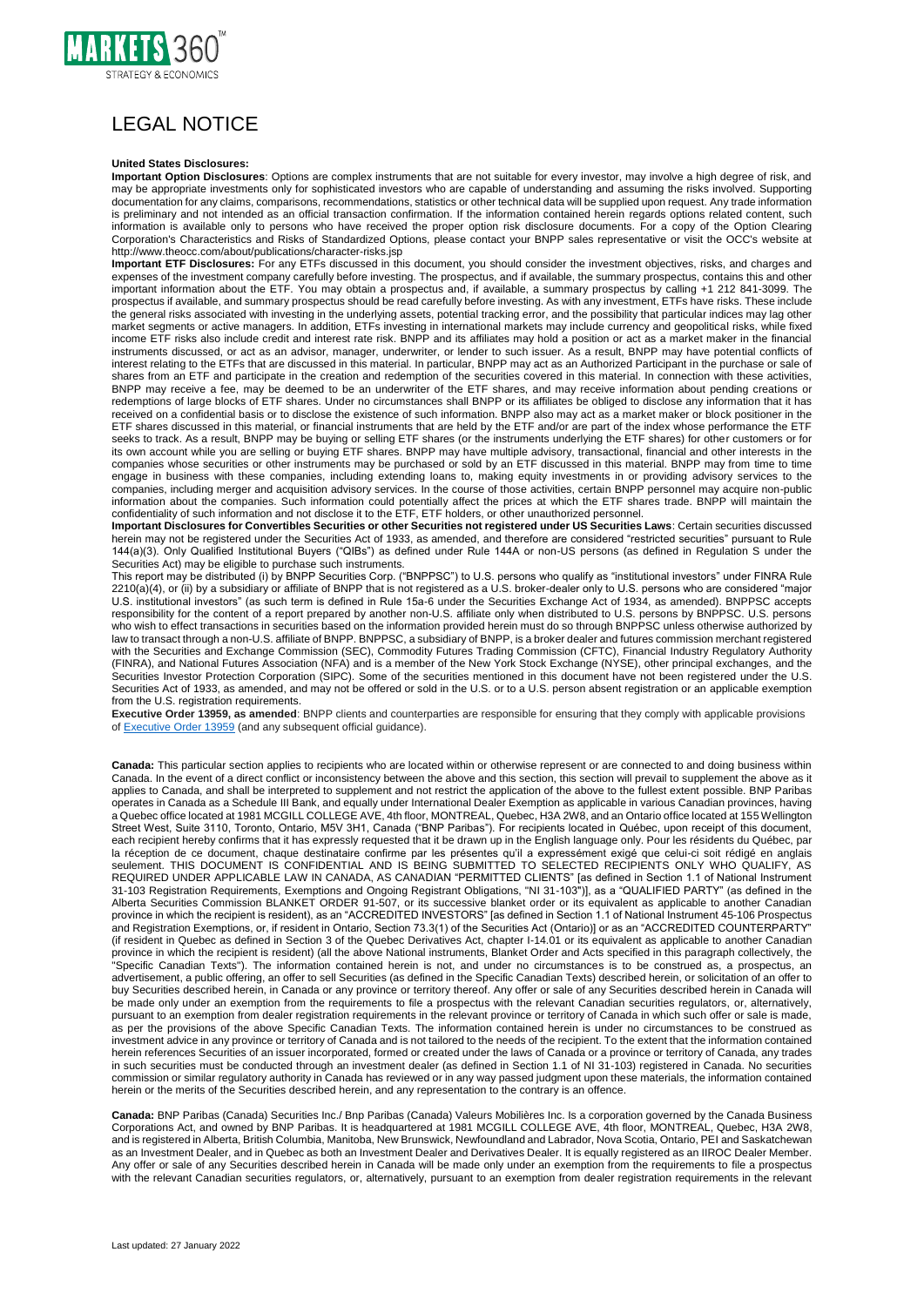

## LEGAL NOTICE

## **United States Disclosures:**

**Important Option Disclosures**: Options are complex instruments that are not suitable for every investor, may involve a high degree of risk, and may be appropriate investments only for sophisticated investors who are capable of understanding and assuming the risks involved. Supporting documentation for any claims, comparisons, recommendations, statistics or other technical data will be supplied upon request. Any trade information is preliminary and not intended as an official transaction confirmation. If the information contained herein regards options related content, such information is available only to persons who have received the proper option risk disclosure documents. For a copy of the Option Clearing Corporation's Characteristics and Risks of Standardized Options, please contact your BNPP sales representative or visit the OCC's website at http://www.theocc.com/about/publications/character-risks.jsp

**Important ETF Disclosures:** For any ETFs discussed in this document, you should consider the investment objectives, risks, and charges and expenses of the investment company carefully before investing. The prospectus, and if available, the summary prospectus, contains this and other important information about the ETF. You may obtain a prospectus and, if available, a summary prospectus by calling +1 212 841-3099. The prospectus if available, and summary prospectus should be read carefully before investing. As with any investment, ETFs have risks. These include the general risks associated with investing in the underlying assets, potential tracking error, and the possibility that particular indices may lag other market segments or active managers. In addition, ETFs investing in international markets may include currency and geopolitical risks, while fixed income ETF risks also include credit and interest rate risk. BNPP and its affiliates may hold a position or act as a market maker in the financial instruments discussed, or act as an advisor, manager, underwriter, or lender to such issuer. As a result, BNPP may have potential conflicts of interest relating to the ETFs that are discussed in this material. In particular, BNPP may act as an Authorized Participant in the purchase or sale of shares from an ETF and participate in the creation and redemption of the securities covered in this material. In connection with these activities, BNPP may receive a fee, may be deemed to be an underwriter of the ETF shares, and may receive information about pending creations or redemptions of large blocks of ETF shares. Under no circumstances shall BNPP or its affiliates be obliged to disclose any information that it has received on a confidential basis or to disclose the existence of such information. BNPP also may act as a market maker or block positioner in the ETF shares discussed in this material, or financial instruments that are held by the ETF and/or are part of the index whose performance the ETF seeks to track. As a result, BNPP may be buying or selling ETF shares (or the instruments underlying the ETF shares) for other customers or for its own account while you are selling or buying ETF shares. BNPP may have multiple advisory, transactional, financial and other interests in the companies whose securities or other instruments may be purchased or sold by an ETF discussed in this material. BNPP may from time to time engage in business with these companies, including extending loans to, making equity investments in or providing advisory services to the companies, including merger and acquisition advisory services. In the course of those activities, certain BNPP personnel may acquire non-public information about the companies. Such information could potentially affect the prices at which the ETF shares trade. BNPP will maintain the confidentiality of such information and not disclose it to the ETF, ETF holders, or other unauthorized personnel.

**Important Disclosures for Convertibles Securities or other Securities not registered under US Securities Laws**: Certain securities discussed herein may not be registered under the Securities Act of 1933, as amended, and therefore are considered "restricted securities" pursuant to Rule 144(a)(3). Only Qualified Institutional Buyers ("QIBs") as defined under Rule 144A or non-US persons (as defined in Regulation S under the Securities Act) may be eligible to purchase such instruments.

This report may be distributed (i) by BNPP Securities Corp. ("BNPPSC") to U.S. persons who qualify as "institutional investors" under FINRA Rule 2210(a)(4), or (ii) by a subsidiary or affiliate of BNPP that is not registered as a U.S. broker-dealer only to U.S. persons who are considered "major U.S. institutional investors" (as such term is defined in Rule 15a-6 under the Securities Exchange Act of 1934, as amended). BNPPSC accepts responsibility for the content of a report prepared by another non-U.S. affiliate only when distributed to U.S. persons by BNPPSC. U.S. persons who wish to effect transactions in securities based on the information provided herein must do so through BNPPSC unless otherwise authorized by law to transact through a non-U.S. affiliate of BNPP. BNPPSC, a subsidiary of BNPP, is a broker dealer and futures commission merchant registered with the Securities and Exchange Commission (SEC), Commodity Futures Trading Commission (CFTC), Financial Industry Regulatory Authority (FINRA), and National Futures Association (NFA) and is a member of the New York Stock Exchange (NYSE), other principal exchanges, and the Securities Investor Protection Corporation (SIPC). Some of the securities mentioned in this document have not been registered under the U.S. Securities Act of 1933, as amended, and may not be offered or sold in the U.S. or to a U.S. person absent registration or an applicable exemption from the U.S. registration requirements.

**Executive Order 13959, as amended**: BNPP clients and counterparties are responsible for ensuring that they comply with applicable provisions of [Executive Order 13959](https://home.treasury.gov/system/files/126/13959.pdf) (and any subsequent official guidance).

**Canada:** This particular section applies to recipients who are located within or otherwise represent or are connected to and doing business within Canada. In the event of a direct conflict or inconsistency between the above and this section, this section will prevail to supplement the above as it applies to Canada, and shall be interpreted to supplement and not restrict the application of the above to the fullest extent possible. BNP Paribas operates in Canada as a Schedule III Bank, and equally under International Dealer Exemption as applicable in various Canadian provinces, having a Quebec office located at 1981 MCGILL COLLEGE AVE, 4th floor, MONTREAL, Quebec, H3A 2W8, and an Ontario office located at 155 Wellington Street West, Suite 3110, Toronto, Ontario, M5V 3H1, Canada ("BNP Paribas"). For recipients located in Québec, upon receipt of this document, each recipient hereby confirms that it has expressly requested that it be drawn up in the English language only. Pour les résidents du Québec, par la réception de ce document, chaque destinataire confirme par les présentes qu'il a expressément exigé que celui-ci soit rédigé en anglais seulement. THIS DOCUMENT IS CONFIDENTIAL AND IS BEING SUBMITTED TO SELECTED RECIPIENTS ONLY WHO QUALIFY, AS REQUIRED UNDER APPLICABLE LAW IN CANADA, AS CANADIAN "PERMITTED CLIENTS" [as defined in Section 1.1 of National Instrument 31-103 Registration Requirements, Exemptions and Ongoing Registrant Obligations, "NI 31-103")], as a "QUALIFIED PARTY" (as defined in the Alberta Securities Commission BLANKET ORDER 91-507, or its successive blanket order or its equivalent as applicable to another Canadian province in which the recipient is resident), as an "ACCREDITED INVESTORS" [as defined in Section 1.1 of National Instrument 45-106 Prospectus and Registration Exemptions, or, if resident in Ontario, Section 73.3(1) of the Securities Act (Ontario)] or as an "ACCREDITED COUNTERPARTY" (if resident in Quebec as defined in Section 3 of the Quebec Derivatives Act, chapter I-14.01 or its equivalent as applicable to another Canadian province in which the recipient is resident) (all the above National instruments, Blanket Order and Acts specified in this paragraph collectively, the "Specific Canadian Texts"). The information contained herein is not, and under no circumstances is to be construed as, a prospectus, an advertisement, a public offering, an offer to sell Securities (as defined in the Specific Canadian Texts) described herein, or solicitation of an offer to buy Securities described herein, in Canada or any province or territory thereof. Any offer or sale of any Securities described herein in Canada will be made only under an exemption from the requirements to file a prospectus with the relevant Canadian securities regulators, or, alternatively, pursuant to an exemption from dealer registration requirements in the relevant province or territory of Canada in which such offer or sale is made, as per the provisions of the above Specific Canadian Texts. The information contained herein is under no circumstances to be construed as investment advice in any province or territory of Canada and is not tailored to the needs of the recipient. To the extent that the information contained herein references Securities of an issuer incorporated, formed or created under the laws of Canada or a province or territory of Canada, any trades in such securities must be conducted through an investment dealer (as defined in Section 1.1 of NI 31-103) registered in Canada. No securities commission or similar regulatory authority in Canada has reviewed or in any way passed judgment upon these materials, the information contained herein or the merits of the Securities described herein, and any representation to the contrary is an offence.

**Canada:** BNP Paribas (Canada) Securities Inc./ Bnp Paribas (Canada) Valeurs Mobilières Inc. Is a corporation governed by the Canada Business Corporations Act, and owned by BNP Paribas. It is headquartered at 1981 MCGILL COLLEGE AVE, 4th floor, MONTREAL, Quebec, H3A 2W8, and is registered in Alberta, British Columbia, Manitoba, New Brunswick, Newfoundland and Labrador, Nova Scotia, Ontario, PEI and Saskatchewan as an Investment Dealer, and in Quebec as both an Investment Dealer and Derivatives Dealer. It is equally registered as an IIROC Dealer Member. Any offer or sale of any Securities described herein in Canada will be made only under an exemption from the requirements to file a prospectus with the relevant Canadian securities regulators, or, alternatively, pursuant to an exemption from dealer registration requirements in the relevant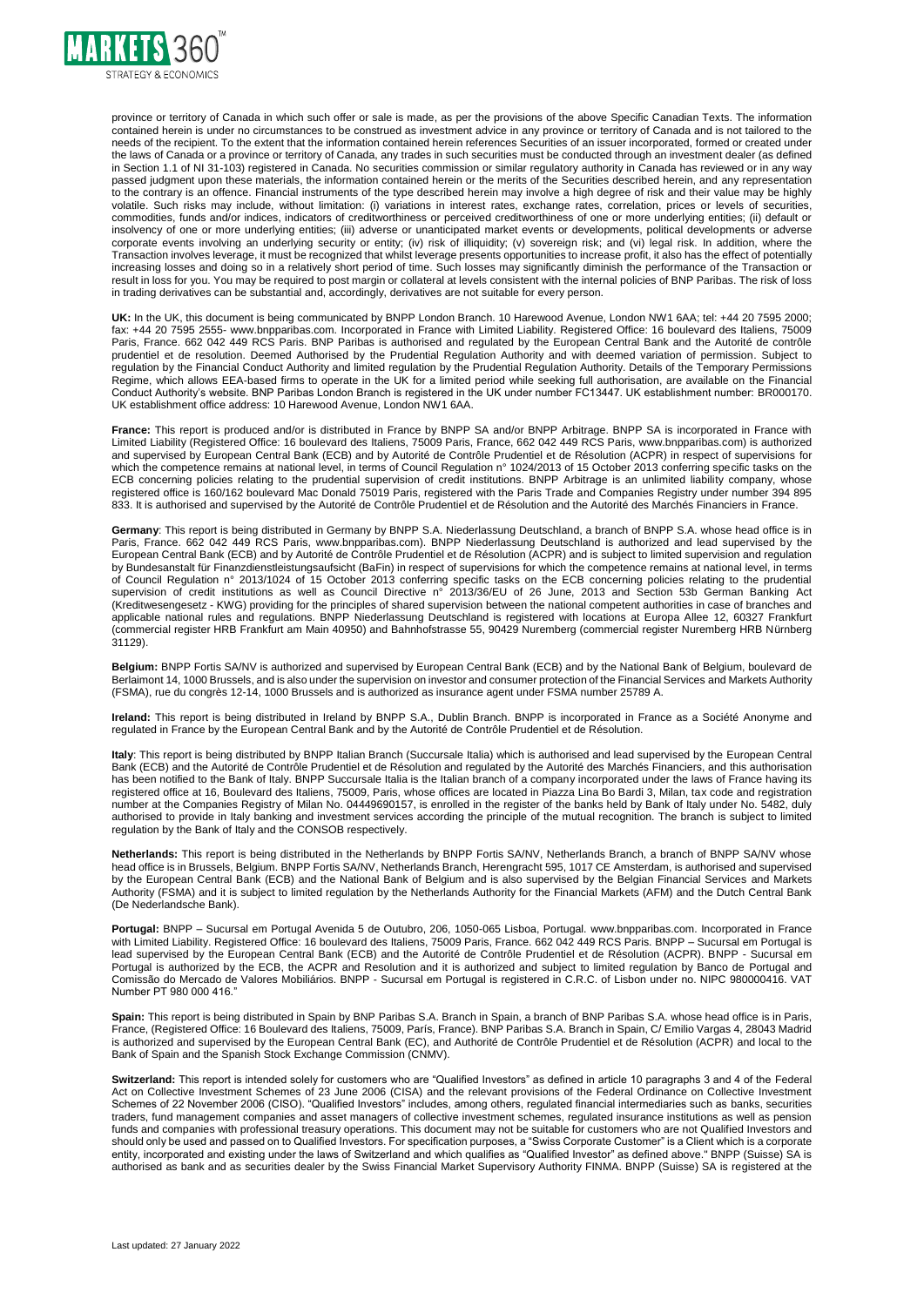

province or territory of Canada in which such offer or sale is made, as per the provisions of the above Specific Canadian Texts. The information contained herein is under no circumstances to be construed as investment advice in any province or territory of Canada and is not tailored to the needs of the recipient. To the extent that the information contained herein references Securities of an issuer incorporated, formed or created under the laws of Canada or a province or territory of Canada, any trades in such securities must be conducted through an investment dealer (as defined in Section 1.1 of NI 31-103) registered in Canada. No securities commission or similar regulatory authority in Canada has reviewed or in any way passed judgment upon these materials, the information contained herein or the merits of the Securities described herein, and any representation to the contrary is an offence. Financial instruments of the type described herein may involve a high degree of risk and their value may be highly volatile. Such risks may include, without limitation: (i) variations in interest rates, exchange rates, correlation, prices or levels of securities, commodities, funds and/or indices, indicators of creditworthiness or perceived creditworthiness of one or more underlying entities; (ii) default or insolvency of one or more underlying entities; (iii) adverse or unanticipated market events or developments, political developments or adverse corporate events involving an underlying security or entity; (iv) risk of illiquidity; (v) sovereign risk; and (vi) legal risk. In addition, where the Transaction involves leverage, it must be recognized that whilst leverage presents opportunities to increase profit, it also has the effect of potentially increasing losses and doing so in a relatively short period of time. Such losses may significantly diminish the performance of the Transaction or result in loss for you. You may be required to post margin or collateral at levels consistent with the internal policies of BNP Paribas. The risk of loss in trading derivatives can be substantial and, accordingly, derivatives are not suitable for every person.

**UK:** In the UK, this document is being communicated by BNPP London Branch. 10 Harewood Avenue, London NW1 6AA; tel: +44 20 7595 2000; fax: +44 20 7595 2555- www.bnpparibas.com. Incorporated in France with Limited Liability. Registered Office: 16 boulevard des Italiens, 75009 Paris, France. 662 042 449 RCS Paris. BNP Paribas is authorised and regulated by the European Central Bank and the Autorité de contrôle prudentiel et de resolution. Deemed Authorised by the Prudential Regulation Authority and with deemed variation of permission. Subject to regulation by the Financial Conduct Authority and limited regulation by the Prudential Regulation Authority. Details of the Temporary Permissions Regime, which allows EEA-based firms to operate in the UK for a limited period while seeking full authorisation, are available on the Financial Conduct Authority's website. BNP Paribas London Branch is registered in the UK under number FC13447. UK establishment number: BR000170. UK establishment office address: 10 Harewood Avenue, London NW1 6AA.

**France:** This report is produced and/or is distributed in France by BNPP SA and/or BNPP Arbitrage. BNPP SA is incorporated in France with Limited Liability (Registered Office: 16 boulevard des Italiens, 75009 Paris, France, 662 042 449 RCS Paris, www.bnpparibas.com) is authorized and supervised by European Central Bank (ECB) and by Autorité de Contrôle Prudentiel et de Résolution (ACPR) in respect of supervisions for which the competence remains at national level, in terms of Council Regulation n° 1024/2013 of 15 October 2013 conferring specific tasks on the ECB concerning policies relating to the prudential supervision of credit institutions. BNPP Arbitrage is an unlimited liability company, whose registered office is 160/162 boulevard Mac Donald 75019 Paris, registered with the Paris Trade and Companies Registry under number 394 895 833. It is authorised and supervised by the Autorité de Contrôle Prudentiel et de Résolution and the Autorité des Marchés Financiers in France.

**Germany**: This report is being distributed in Germany by BNPP S.A. Niederlassung Deutschland, a branch of BNPP S.A. whose head office is in Paris, France. 662 042 449 RCS Paris, www.bnpparibas.com). BNPP Niederlassung Deutschland is authorized and lead supervised by the European Central Bank (ECB) and by Autorité de Contrôle Prudentiel et de Résolution (ACPR) and is subject to limited supervision and regulation by Bundesanstalt für Finanzdienstleistungsaufsicht (BaFin) in respect of supervisions for which the competence remains at national level, in terms of Council Regulation n° 2013/1024 of 15 October 2013 conferring specific tasks on the ECB concerning policies relating to the prudential supervision of credit institutions as well as Council Directive n° 2013/36/EU of 26 June, 2013 and Section 53b German Banking Act (Kreditwesengesetz - KWG) providing for the principles of shared supervision between the national competent authorities in case of branches and applicable national rules and regulations. BNPP Niederlassung Deutschland is registered with locations at Europa Allee 12, 60327 Frankfurt (commercial register HRB Frankfurt am Main 40950) and Bahnhofstrasse 55, 90429 Nuremberg (commercial register Nuremberg HRB Nürnberg 31129).

**Belgium:** BNPP Fortis SA/NV is authorized and supervised by European Central Bank (ECB) and by the National Bank of Belgium, boulevard de Berlaimont 14, 1000 Brussels, and is also under the supervision on investor and consumer protection of the Financial Services and Markets Authority (FSMA), rue du congrès 12-14, 1000 Brussels and is authorized as insurance agent under FSMA number 25789 A.

**Ireland:** This report is being distributed in Ireland by BNPP S.A., Dublin Branch. BNPP is incorporated in France as a Société Anonyme and regulated in France by the European Central Bank and by the Autorité de Contrôle Prudentiel et de Résolution.

**Italy**: This report is being distributed by BNPP Italian Branch (Succursale Italia) which is authorised and lead supervised by the European Central Bank (ECB) and the Autorité de Contrôle Prudentiel et de Résolution and regulated by the Autorité des Marchés Financiers, and this authorisation has been notified to the Bank of Italy. BNPP Succursale Italia is the Italian branch of a company incorporated under the laws of France having its<br>has been notified to the Bank of Italy. BNPP Succursale Italia is the Itali registered office at 16, Boulevard des Italiens, 75009, Paris, whose offices are located in Piazza Lina Bo Bardi 3, Milan, tax code and registration number at the Companies Registry of Milan No. 04449690157, is enrolled in the register of the banks held by Bank of Italy under No. 5482, duly authorised to provide in Italy banking and investment services according the principle of the mutual recognition. The branch is subject to limited regulation by the Bank of Italy and the CONSOB respectively.

**Netherlands:** This report is being distributed in the Netherlands by BNPP Fortis SA/NV, Netherlands Branch, a branch of BNPP SA/NV whose head office is in Brussels, Belgium. BNPP Fortis SA/NV, Netherlands Branch, Herengracht 595, 1017 CE Amsterdam, is authorised and supervised by the European Central Bank (ECB) and the National Bank of Belgium and is also supervised by the Belgian Financial Services and Markets Authority (FSMA) and it is subject to limited regulation by the Netherlands Authority for the Financial Markets (AFM) and the Dutch Central Bank (De Nederlandsche Bank).

**Portugal:** BNPP – Sucursal em Portugal Avenida 5 de Outubro, 206, 1050-065 Lisboa, Portugal. www.bnpparibas.com. Incorporated in France with Limited Liability. Registered Office: 16 boulevard des Italiens, 75009 Paris, France. 662 042 449 RCS Paris. BNPP – Sucursal em Portugal is lead supervised by the European Central Bank (ECB) and the Autorité de Contrôle Prudentiel et de Résolution (ACPR). BNPP - Sucursal em Portugal is authorized by the ECB, the ACPR and Resolution and it is authorized and subject to limited regulation by Banco de Portugal and Comissão do Mercado de Valores Mobiliários. BNPP - Sucursal em Portugal is registered in C.R.C. of Lisbon under no. NIPC 980000416. VAT Number PT 980 000 416

**Spain:** This report is being distributed in Spain by BNP Paribas S.A. Branch in Spain, a branch of BNP Paribas S.A. whose head office is in Paris, France, (Registered Office: 16 Boulevard des Italiens, 75009, París, France). BNP Paribas S.A. Branch in Spain, C/ Emilio Vargas 4, 28043 Madrid is authorized and supervised by the European Central Bank (EC), and Authorité de Contrôle Prudentiel et de Résolution (ACPR) and local to the Bank of Spain and the Spanish Stock Exchange Commission (CNMV).

**Switzerland:** This report is intended solely for customers who are "Qualified Investors" as defined in article 10 paragraphs 3 and 4 of the Federal Act on Collective Investment Schemes of 23 June 2006 (CISA) and the relevant provisions of the Federal Ordinance on Collective Investment Schemes of 22 November 2006 (CISO). "Qualified Investors" includes, among others, regulated financial intermediaries such as banks, securities traders, fund management companies and asset managers of collective investment schemes, regulated insurance institutions as well as pension funds and companies with professional treasury operations. This document may not be suitable for customers who are not Qualified Investors and should only be used and passed on to Qualified Investors. For specification purposes, a "Swiss Corporate Customer" is a Client which is a corporate entity, incorporated and existing under the laws of Switzerland and which qualifies as "Qualified Investor" as defined above." BNPP (Suisse) SA is authorised as bank and as securities dealer by the Swiss Financial Market Supervisory Authority FINMA. BNPP (Suisse) SA is registered at the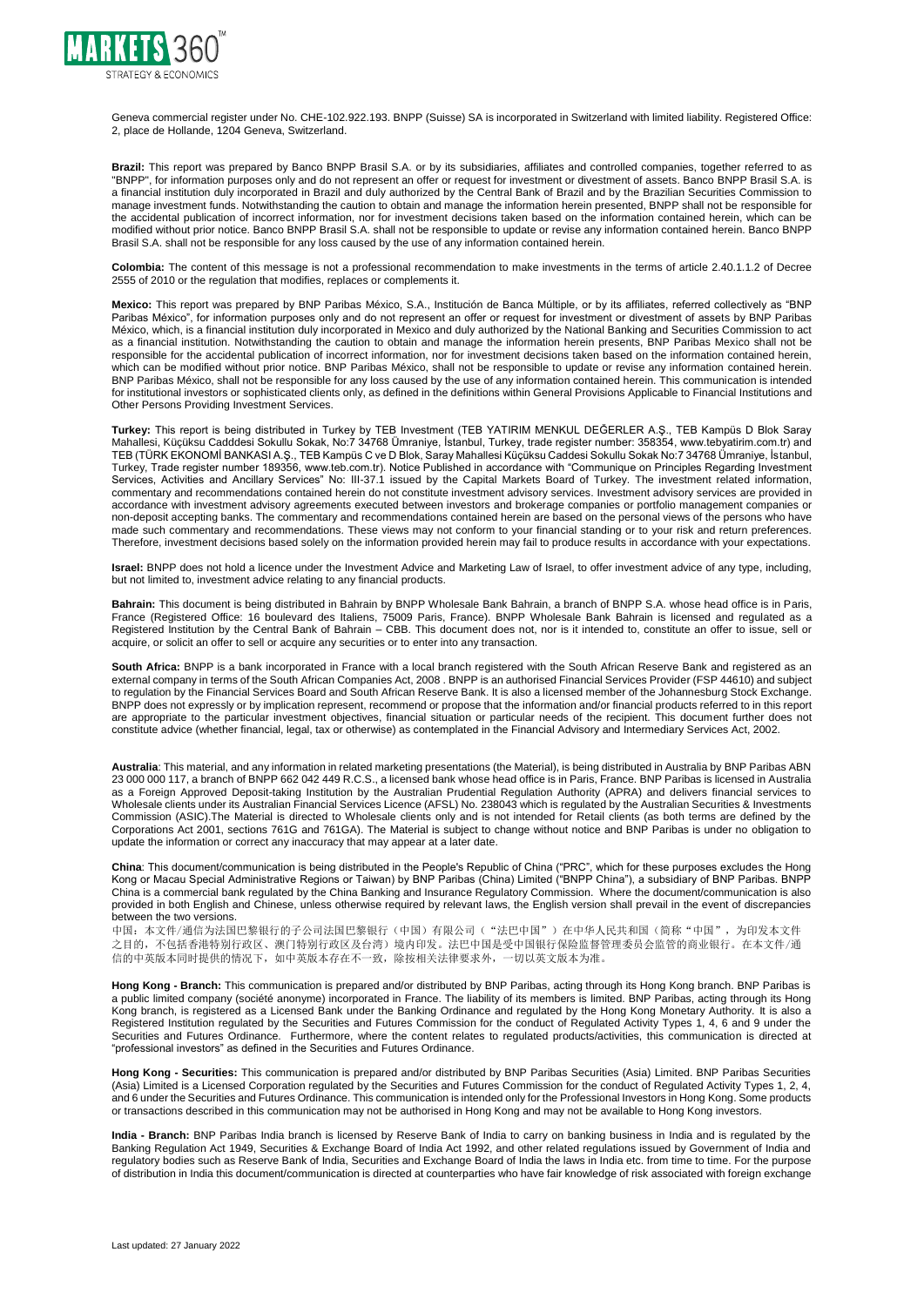

Geneva commercial register under No. CHE-102.922.193. BNPP (Suisse) SA is incorporated in Switzerland with limited liability. Registered Office: 2, place de Hollande, 1204 Geneva, Switzerland.

**Brazil:** This report was prepared by Banco BNPP Brasil S.A. or by its subsidiaries, affiliates and controlled companies, together referred to as "BNPP", for information purposes only and do not represent an offer or request for investment or divestment of assets. Banco BNPP Brasil S.A. is a financial institution duly incorporated in Brazil and duly authorized by the Central Bank of Brazil and by the Brazilian Securities Commission to manage investment funds. Notwithstanding the caution to obtain and manage the information herein presented, BNPP shall not be responsible for the accidental publication of incorrect information, nor for investment decisions taken based on the information contained herein, which can be modified without prior notice. Banco BNPP Brasil S.A. shall not be responsible to update or revise any information contained herein. Banco BNPP Brasil S.A. shall not be responsible for any loss caused by the use of any information contained herein.

**Colombia:** The content of this message is not a professional recommendation to make investments in the terms of article 2.40.1.1.2 of Decree 2555 of 2010 or the regulation that modifies, replaces or complements it.

**Mexico:** This report was prepared by BNP Paribas México, S.A., Institución de Banca Múltiple, or by its affiliates, referred collectively as "BNP Paribas México", for information purposes only and do not represent an offer or request for investment or divestment of assets by BNP Paribas México, which, is a financial institution duly incorporated in Mexico and duly authorized by the National Banking and Securities Commission to act as a financial institution. Notwithstanding the caution to obtain and manage the information herein presents, BNP Paribas Mexico shall not be responsible for the accidental publication of incorrect information, nor for investment decisions taken based on the information contained herein, which can be modified without prior notice. BNP Paribas México, shall not be responsible to update or revise any information contained herein. BNP Paribas México, shall not be responsible for any loss caused by the use of any information contained herein. This communication is intended for institutional investors or sophisticated clients only, as defined in the definitions within General Provisions Applicable to Financial Institutions and Other Persons Providing Investment Services.

**Turkey:** This report is being distributed in Turkey by TEB Investment (TEB YATIRIM MENKUL DEĞERLER A.Ş., TEB Kampüs D Blok Saray Mahallesi, Küçüksu Cadddesi Sokullu Sokak, No:7 34768 Ümraniye, İstanbul, Turkey, trade register number: 358354, www.tebyatirim.com.tr) and TEB (TÜRK EKONOMİ BANKASI A.Ş., TEB Kampüs C ve D Blok, Saray Mahallesi Küçüksu Caddesi Sokullu Sokak No:7 34768 Ümraniye, İstanbul, Turkey, Trade register number 189356, www.teb.com.tr). Notice Published in accordance with "Communique on Principles Regarding Investment Services, Activities and Ancillary Services" No: III-37.1 issued by the Capital Markets Board of Turkey. The investment related information, commentary and recommendations contained herein do not constitute investment advisory services. Investment advisory services are provided in accordance with investment advisory agreements executed between investors and brokerage companies or portfolio management companies or non-deposit accepting banks. The commentary and recommendations contained herein are based on the personal views of the persons who have made such commentary and recommendations. These views may not conform to your financial standing or to your risk and return preferences. Therefore, investment decisions based solely on the information provided herein may fail to produce results in accordance with your expectations.

**Israel:** BNPP does not hold a licence under the Investment Advice and Marketing Law of Israel, to offer investment advice of any type, including, but not limited to, investment advice relating to any financial products.

**Bahrain:** This document is being distributed in Bahrain by BNPP Wholesale Bank Bahrain, a branch of BNPP S.A. whose head office is in Paris, France (Registered Office: 16 boulevard des Italiens, 75009 Paris, France). BNPP Wholesale Bank Bahrain is licensed and regulated as a Registered Institution by the Central Bank of Bahrain – CBB. This document does not, nor is it intended to, constitute an offer to issue, sell or acquire, or solicit an offer to sell or acquire any securities or to enter into any transaction.

**South Africa:** BNPP is a bank incorporated in France with a local branch registered with the South African Reserve Bank and registered as an external company in terms of the South African Companies Act, 2008 . BNPP is an authorised Financial Services Provider (FSP 44610) and subject to regulation by the Financial Services Board and South African Reserve Bank. It is also a licensed member of the Johannesburg Stock Exchange. BNPP does not expressly or by implication represent, recommend or propose that the information and/or financial products referred to in this report are appropriate to the particular investment objectives, financial situation or particular needs of the recipient. This document further does not constitute advice (whether financial, legal, tax or otherwise) as contemplated in the Financial Advisory and Intermediary Services Act, 2002.

**Australia**: This material, and any information in related marketing presentations (the Material), is being distributed in Australia by BNP Paribas ABN 23 000 000 117, a branch of BNPP 662 042 449 R.C.S., a licensed bank whose head office is in Paris, France. BNP Paribas is licensed in Australia as a Foreign Approved Deposit-taking Institution by the Australian Prudential Regulation Authority (APRA) and delivers financial services to Wholesale clients under its Australian Financial Services Licence (AFSL) No. 238043 which is regulated by the Australian Securities & Investments Commission (ASIC).The Material is directed to Wholesale clients only and is not intended for Retail clients (as both terms are defined by the Corporations Act 2001, sections 761G and 761GA). The Material is subject to change without notice and BNP Paribas is under no obligation to update the information or correct any inaccuracy that may appear at a later date.

**China**: This document/communication is being distributed in the People's Republic of China ("PRC", which for these purposes excludes the Hong Kong or Macau Special Administrative Regions or Taiwan) by BNP Paribas (China) Limited ("BNPP China"), a subsidiary of BNP Paribas. BNPP China is a commercial bank regulated by the China Banking and Insurance Regulatory Commission. Where the document/communication is also provided in both English and Chinese, unless otherwise required by relevant laws, the English version shall prevail in the event of discrepancies between the two versions.

中国:本文件/通信为法国巴黎银行的子公司法国巴黎银行(中国)有限公司("法巴中国")在中华人民共和国(简称"中国",为印发本文件 之目的,不包括香港特别行政区、澳门特别行政区及台湾)境内印发。法巴中国是受中国银行保险监督管理委员会监管的商业银行。在本文件/通 信的中英版本同时提供的情况下,如中英版本存在不一致,除按相关法律要求外,一切以英文版本为准。

**Hong Kong - Branch:** This communication is prepared and/or distributed by BNP Paribas, acting through its Hong Kong branch. BNP Paribas is a public limited company (société anonyme) incorporated in France. The liability of its members is limited. BNP Paribas, acting through its Hong Kong branch, is registered as a Licensed Bank under the Banking Ordinance and regulated by the Hong Kong Monetary Authority. It is also a Registered Institution regulated by the Securities and Futures Commission for the conduct of Regulated Activity Types 1, 4, 6 and 9 under the Securities and Futures Ordinance. Furthermore, where the content relates to regulated products/activities, this communication is directed at "professional investors" as defined in the Securities and Futures Ordinance.

**Hong Kong - Securities:** This communication is prepared and/or distributed by BNP Paribas Securities (Asia) Limited. BNP Paribas Securities (Asia) Limited is a Licensed Corporation regulated by the Securities and Futures Commission for the conduct of Regulated Activity Types 1, 2, 4, and 6 under the Securities and Futures Ordinance. This communication is intended only for the Professional Investors in Hong Kong. Some products or transactions described in this communication may not be authorised in Hong Kong and may not be available to Hong Kong investors.

**India - Branch:** BNP Paribas India branch is licensed by Reserve Bank of India to carry on banking business in India and is regulated by the Banking Regulation Act 1949, Securities & Exchange Board of India Act 1992, and other related regulations issued by Government of India and regulatory bodies such as Reserve Bank of India, Securities and Exchange Board of India the laws in India etc. from time to time. For the purpose of distribution in India this document/communication is directed at counterparties who have fair knowledge of risk associated with foreign exchange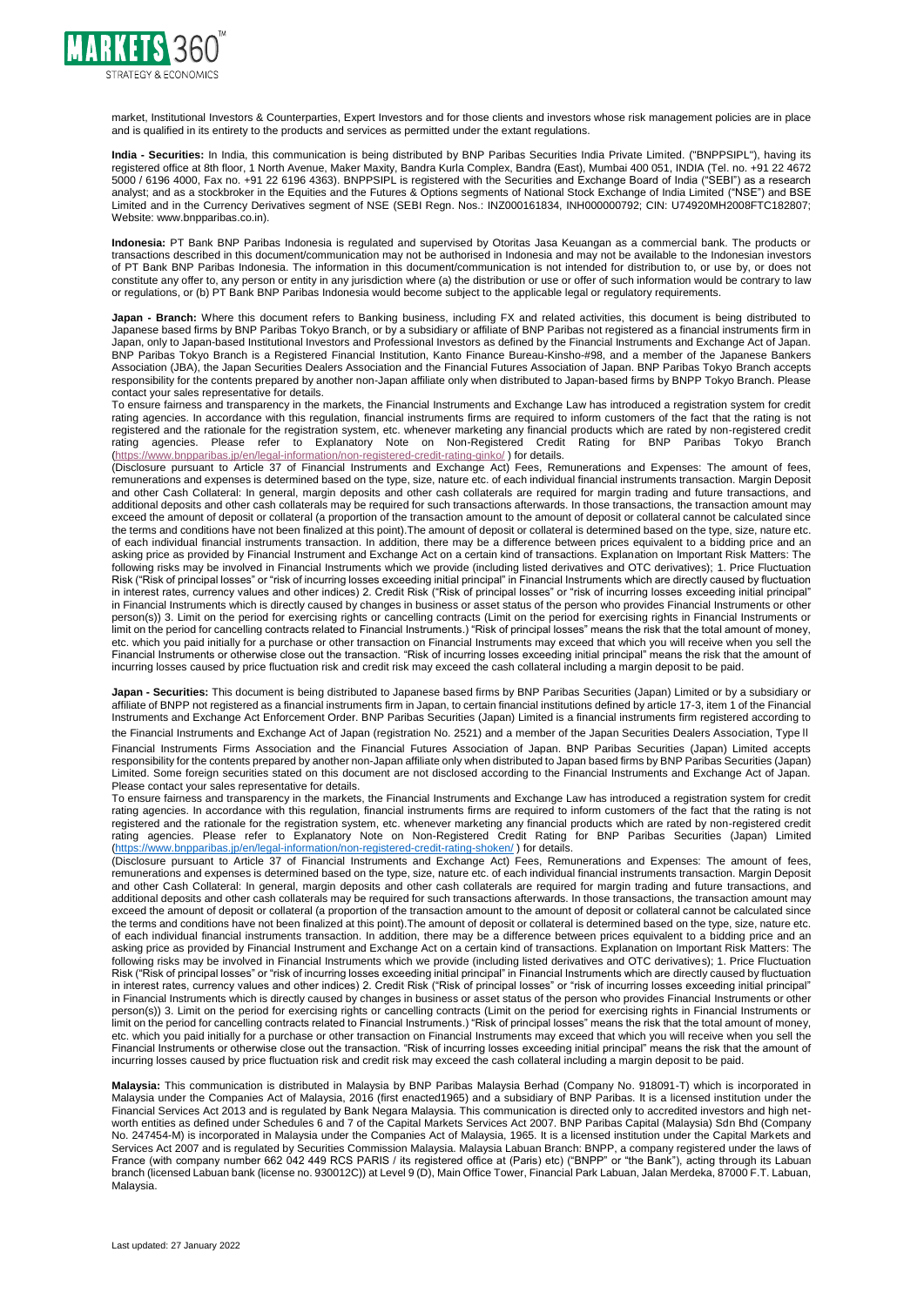

market, Institutional Investors & Counterparties, Expert Investors and for those clients and investors whose risk management policies are in place and is qualified in its entirety to the products and services as permitted under the extant regulations.

**India - Securities:** In India, this communication is being distributed by BNP Paribas Securities India Private Limited. ("BNPPSIPL"), having its registered office at 8th floor, 1 North Avenue, Maker Maxity, Bandra Kurla Complex, Bandra (East), Mumbai 400 051, INDIA (Tel. no. +91 22 4672 5000 / 6196 4000, Fax no. +91 22 6196 4363). BNPPSIPL is registered with the Securities and Exchange Board of India ("SEBI") as a research analyst; and as a stockbroker in the Equities and the Futures & Options segments of National Stock Exchange of India Limited ("NSE") and BSE Limited and in the Currency Derivatives segment of NSE (SEBI Regn. Nos.: INZ000161834, INH000000792; CIN: U74920MH2008FTC182807; Website: www.bnpparibas.co.in).

**Indonesia:** PT Bank BNP Paribas Indonesia is regulated and supervised by Otoritas Jasa Keuangan as a commercial bank. The products or transactions described in this document/communication may not be authorised in Indonesia and may not be available to the Indonesian investors of PT Bank BNP Paribas Indonesia. The information in this document/communication is not intended for distribution to, or use by, or does not constitute any offer to, any person or entity in any jurisdiction where (a) the distribution or use or offer of such information would be contrary to law or regulations, or (b) PT Bank BNP Paribas Indonesia would become subject to the applicable legal or regulatory requirements.

**Japan - Branch:** Where this document refers to Banking business, including FX and related activities, this document is being distributed to Japanese based firms by BNP Paribas Tokyo Branch, or by a subsidiary or affiliate of BNP Paribas not registered as a financial instruments firm in Japan, only to Japan-based Institutional Investors and Professional Investors as defined by the Financial Instruments and Exchange Act of Japan. BNP Paribas Tokyo Branch is a Registered Financial Institution, Kanto Finance Bureau-Kinsho-#98, and a member of the Japanese Bankers Association (JBA), the Japan Securities Dealers Association and the Financial Futures Association of Japan. BNP Paribas Tokyo Branch accepts responsibility for the contents prepared by another non-Japan affiliate only when distributed to Japan-based firms by BNPP Tokyo Branch. Please contact your sales representative for details.

To ensure fairness and transparency in the markets, the Financial Instruments and Exchange Law has introduced a registration system for credit rating agencies. In accordance with this regulation, financial instruments firms are required to inform customers of the fact that the rating is not registered and the rationale for the registration system, etc. whenever marketing any financial products which are rated by non-registered credit rating agencies. Please refer to Explanatory Note on Non-Registered Credit Rating for BNP Paribas Tokyo Branch [\(https://www.bnpparibas.jp/en/legal-information/non-registered-credit-rating-ginko/](https://www.bnpparibas.jp/en/legal-information/non-registered-credit-rating-ginko/) ) for details.

(Disclosure pursuant to Article 37 of Financial Instruments and Exchange Act) Fees, Remunerations and Expenses: The amount of fees, remunerations and expenses is determined based on the type, size, nature etc. of each individual financial instruments transaction. Margin Deposit and other Cash Collateral: In general, margin deposits and other cash collaterals are required for margin trading and future transactions, and additional deposits and other cash collaterals may be required for such transactions afterwards. In those transactions, the transaction amount may exceed the amount of deposit or collateral (a proportion of the transaction amount to the amount of deposit or collateral cannot be calculated since the terms and conditions have not been finalized at this point).The amount of deposit or collateral is determined based on the type, size, nature etc. of each individual financial instruments transaction. In addition, there may be a difference between prices equivalent to a bidding price and an asking price as provided by Financial Instrument and Exchange Act on a certain kind of transactions. Explanation on Important Risk Matters: The following risks may be involved in Financial Instruments which we provide (including listed derivatives and OTC derivatives); 1. Price Fluctuation Risk ("Risk of principal losses" or "risk of incurring losses exceeding initial principal" in Financial Instruments which are directly caused by fluctuation in interest rates, currency values and other indices) 2. Credit Risk ("Risk of principal losses" or "risk of incurring losses exceeding initial principal" in Financial Instruments which is directly caused by changes in business or asset status of the person who provides Financial Instruments or other person(s)) 3. Limit on the period for exercising rights or cancelling contracts (Limit on the period for exercising rights in Financial Instruments or limit on the period for cancelling contracts related to Financial Instruments.) "Risk of principal losses" means the risk that the total amount of money, etc. which you paid initially for a purchase or other transaction on Financial Instruments may exceed that which you will receive when you sell the Financial Instruments or otherwise close out the transaction. "Risk of incurring losses exceeding initial principal" means the risk that the amount of incurring losses caused by price fluctuation risk and credit risk may exceed the cash collateral including a margin deposit to be paid.

**Japan - Securities:** This document is being distributed to Japanese based firms by BNP Paribas Securities (Japan) Limited or by a subsidiary or affiliate of BNPP not registered as a financial instruments firm in Japan, to certain financial institutions defined by article 17-3, item 1 of the Financial Instruments and Exchange Act Enforcement Order. BNP Paribas Securities (Japan) Limited is a financial instruments firm registered according to

the Financial Instruments and Exchange Act of Japan (registration No. 2521) and a member of the Japan Securities Dealers Association, Type II Financial Instruments Firms Association and the Financial Futures Association of Japan. BNP Paribas Securities (Japan) Limited accepts responsibility for the contents prepared by another non-Japan affiliate only when distributed to Japan based firms by BNP Paribas Securities (Japan) Limited. Some foreign securities stated on this document are not disclosed according to the Financial Instruments and Exchange Act of Japan. Please contact your sales representative for details.

To ensure fairness and transparency in the markets, the Financial Instruments and Exchange Law has introduced a registration system for credit rating agencies. In accordance with this regulation, financial instruments firms are required to inform customers of the fact that the rating is not registered and the rationale for the registration system, etc. whenever marketing any financial products which are rated by non-registered credit rating agencies. Please refer to Explanatory Note on Non-Registered Credit Rating for BNP Paribas Securities (Japan) Limited [\(https://www.bnpparibas.jp/en/legal-information/non-registered-credit-rating-shoken/](https://www.bnpparibas.jp/en/legal-information/non-registered-credit-rating-shoken/) ) for details.

(Disclosure pursuant to Article 37 of Financial Instruments and Exchange Act) Fees, Remunerations and Expenses: The amount of fees, remunerations and expenses is determined based on the type, size, nature etc. of each individual financial instruments transaction. Margin Deposit and other Cash Collateral: In general, margin deposits and other cash collaterals are required for margin trading and future transactions, and additional deposits and other cash collaterals may be required for such transactions afterwards. In those transactions, the transaction amount may exceed the amount of deposit or collateral (a proportion of the transaction amount to the amount of deposit or collateral cannot be calculated since the terms and conditions have not been finalized at this point).The amount of deposit or collateral is determined based on the type, size, nature etc. of each individual financial instruments transaction. In addition, there may be a difference between prices equivalent to a bidding price and an asking price as provided by Financial Instrument and Exchange Act on a certain kind of transactions. Explanation on Important Risk Matters: The following risks may be involved in Financial Instruments which we provide (including listed derivatives and OTC derivatives); 1. Price Fluctuation Risk ("Risk of principal losses" or "risk of incurring losses exceeding initial principal" in Financial Instruments which are directly caused by fluctuation in interest rates, currency values and other indices) 2. Credit Risk ("Risk of principal losses" or "risk of incurring losses exceeding initial principal" in Financial Instruments which is directly caused by changes in business or asset status of the person who provides Financial Instruments or other person(s)) 3. Limit on the period for exercising rights or cancelling contracts (Limit on the period for exercising rights in Financial Instruments or limit on the period for cancelling contracts related to Financial Instruments.) "Risk of principal losses" means the risk that the total amount of money, etc. which you paid initially for a purchase or other transaction on Financial Instruments may exceed that which you will receive when you sell the Financial Instruments or otherwise close out the transaction. "Risk of incurring losses exceeding initial principal" means the risk that the amount of incurring losses caused by price fluctuation risk and credit risk may exceed the cash collateral including a margin deposit to be paid.

**Malaysia:** This communication is distributed in Malaysia by BNP Paribas Malaysia Berhad (Company No. 918091-T) which is incorporated in Malaysia under the Companies Act of Malaysia, 2016 (first enacted1965) and a subsidiary of BNP Paribas. It is a licensed institution under the Financial Services Act 2013 and is regulated by Bank Negara Malaysia. This communication is directed only to accredited investors and high networth entities as defined under Schedules 6 and 7 of the Capital Markets Services Act 2007. BNP Paribas Capital (Malaysia) Sdn Bhd (Company No. 247454-M) is incorporated in Malaysia under the Companies Act of Malaysia, 1965. It is a licensed institution under the Capital Markets and Services Act 2007 and is regulated by Securities Commission Malaysia. Malaysia Labuan Branch: BNPP, a company registered under the laws of France (with company number 662 042 449 RCS PARIS / its registered office at (Paris) etc) ("BNPP" or "the Bank"), acting through its Labuan branch (licensed Labuan bank (license no. 930012C)) at Level 9 (D), Main Office Tower, Financial Park Labuan, Jalan Merdeka, 87000 F.T. Labuan, Malaysia.